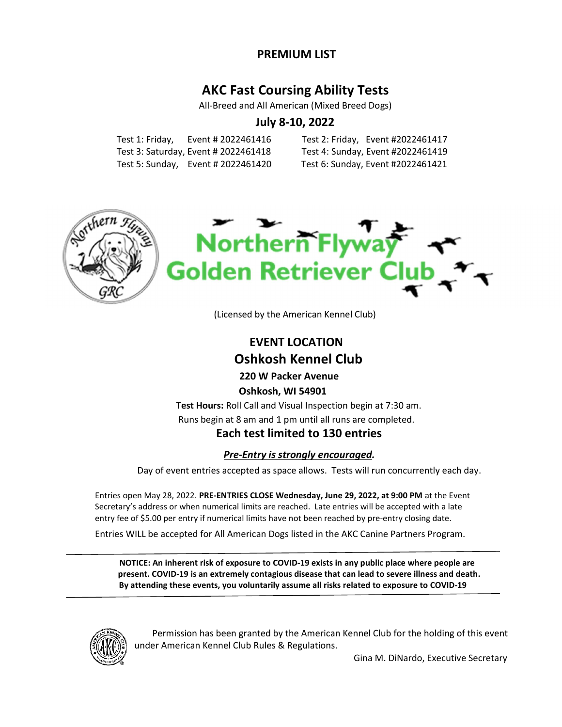## PREMIUM LIST

# AKC Fast Coursing Ability Tests

All-Breed and All American (Mixed Breed Dogs)

# July 8-10, 2022

 Test 1: Friday, Event # 2022461416 Test 2: Friday, Event #2022461417 Test 3: Saturday, Event # 2022461418 Test 4: Sunday, Event #2022461419 Test 5: Sunday, Event # 2022461420 Test 6: Sunday, Event #2022461421





(Licensed by the American Kennel Club)

# EVENT LOCATION Oshkosh Kennel Club

 220 W Packer Avenue Oshkosh, WI 54901

Test Hours: Roll Call and Visual Inspection begin at 7:30 am. Runs begin at 8 am and 1 pm until all runs are completed.

## Each test limited to 130 entries

### Pre-Entry is strongly encouraged.

Day of event entries accepted as space allows. Tests will run concurrently each day.

Entries open May 28, 2022. PRE-ENTRIES CLOSE Wednesday, June 29, 2022, at 9:00 PM at the Event Secretary's address or when numerical limits are reached. Late entries will be accepted with a late entry fee of \$5.00 per entry if numerical limits have not been reached by pre-entry closing date.

Entries WILL be accepted for All American Dogs listed in the AKC Canine Partners Program.

NOTICE: An inherent risk of exposure to COVID-19 exists in any public place where people are present. COVID-19 is an extremely contagious disease that can lead to severe illness and death. By attending these events, you voluntarily assume all risks related to exposure to COVID-19



Permission has been granted by the American Kennel Club for the holding of this event under American Kennel Club Rules & Regulations.

Gina M. DiNardo, Executive Secretary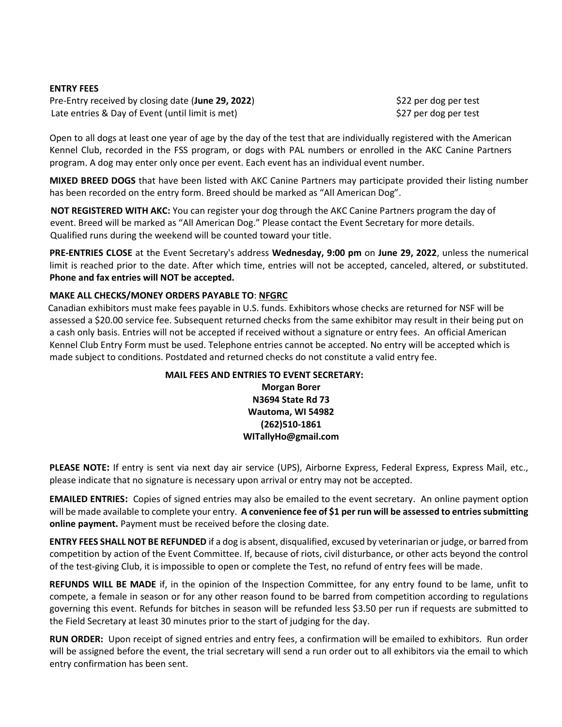### ENTRY FEES

Pre-Entry received by closing date (June 29, 2022) \$22 per dog per test Late entries & Day of Event (until limit is met) \$27 per dog per test

 Open to all dogs at least one year of age by the day of the test that are individually registered with the American Kennel Club, recorded in the FSS program, or dogs with PAL numbers or enrolled in the AKC Canine Partners program. A dog may enter only once per event. Each event has an individual event number.

MIXED BREED DOGS that have been listed with AKC Canine Partners may participate provided their listing number has been recorded on the entry form. Breed should be marked as "All American Dog".

NOT REGISTERED WITH AKC: You can register your dog through the AKC Canine Partners program the day of event. Breed will be marked as "All American Dog." Please contact the Event Secretary for more details. Qualified runs during the weekend will be counted toward your title.

PRE-ENTRIES CLOSE at the Event Secretary's address Wednesday, 9:00 pm on June 29, 2022, unless the numerical limit is reached prior to the date. After which time, entries will not be accepted, canceled, altered, or substituted. Phone and fax entries will NOT be accepted.

### MAKE ALL CHECKS/MONEY ORDERS PAYABLE TO: NFGRC

 Canadian exhibitors must make fees payable in U.S. funds. Exhibitors whose checks are returned for NSF will be assessed a \$20.00 service fee. Subsequent returned checks from the same exhibitor may result in their being put on a cash only basis. Entries will not be accepted if received without a signature or entry fees. An official American Kennel Club Entry Form must be used. Telephone entries cannot be accepted. No entry will be accepted which is made subject to conditions. Postdated and returned checks do not constitute a valid entry fee.

### MAIL FEES AND ENTRIES TO EVENT SECRETARY: Morgan Borer N3694 State Rd 73 Wautoma, WI 54982 (262)510-1861 WITallyHo@gmail.com

PLEASE NOTE: If entry is sent via next day air service (UPS), Airborne Express, Federal Express, Express Mail, etc., please indicate that no signature is necessary upon arrival or entry may not be accepted.

 EMAILED ENTRIES: Copies of signed entries may also be emailed to the event secretary. An online payment option will be made available to complete your entry. A convenience fee of \$1 per run will be assessed to entries submitting online payment. Payment must be received before the closing date.

 ENTRY FEES SHALL NOT BE REFUNDED if a dog is absent, disqualified, excused by veterinarian or judge, or barred from competition by action of the Event Committee. If, because of riots, civil disturbance, or other acts beyond the control of the test-giving Club, it is impossible to open or complete the Test, no refund of entry fees will be made.

 REFUNDS WILL BE MADE if, in the opinion of the Inspection Committee, for any entry found to be lame, unfit to compete, a female in season or for any other reason found to be barred from competition according to regulations governing this event. Refunds for bitches in season will be refunded less \$3.50 per run if requests are submitted to the Field Secretary at least 30 minutes prior to the start of judging for the day.

 RUN ORDER: Upon receipt of signed entries and entry fees, a confirmation will be emailed to exhibitors. Run order will be assigned before the event, the trial secretary will send a run order out to all exhibitors via the email to which entry confirmation has been sent.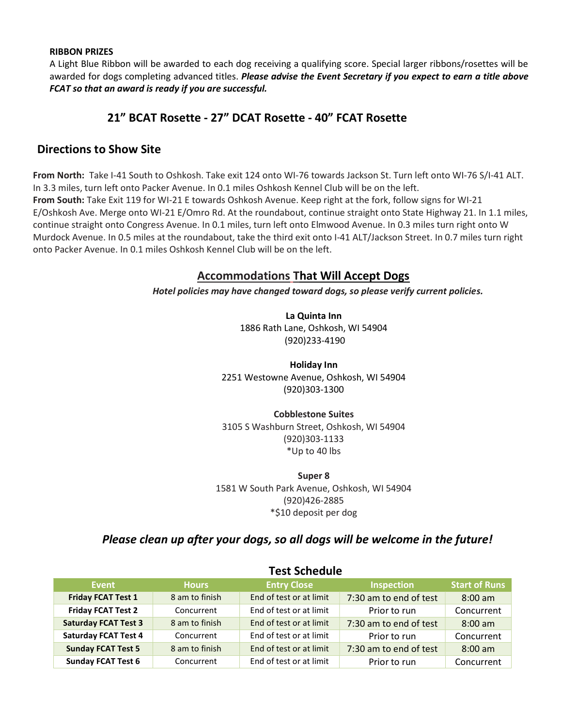#### RIBBON PRIZES

A Light Blue Ribbon will be awarded to each dog receiving a qualifying score. Special larger ribbons/rosettes will be awarded for dogs completing advanced titles. Please advise the Event Secretary if you expect to earn a title above FCAT so that an award is ready if you are successful.

## 21" BCAT Rosette - 27" DCAT Rosette - 40" FCAT Rosette

## Directions to Show Site

From North: Take I-41 South to Oshkosh. Take exit 124 onto WI-76 towards Jackson St. Turn left onto WI-76 S/I-41 ALT. In 3.3 miles, turn left onto Packer Avenue. In 0.1 miles Oshkosh Kennel Club will be on the left. From South: Take Exit 119 for WI-21 E towards Oshkosh Avenue. Keep right at the fork, follow signs for WI-21 E/Oshkosh Ave. Merge onto WI-21 E/Omro Rd. At the roundabout, continue straight onto State Highway 21. In 1.1 miles, continue straight onto Congress Avenue. In 0.1 miles, turn left onto Elmwood Avenue. In 0.3 miles turn right onto W Murdock Avenue. In 0.5 miles at the roundabout, take the third exit onto I-41 ALT/Jackson Street. In 0.7 miles turn right onto Packer Avenue. In 0.1 miles Oshkosh Kennel Club will be on the left.

## Accommodations That Will Accept Dogs

Hotel policies may have changed toward dogs, so please verify current policies.

La Quinta Inn 1886 Rath Lane, Oshkosh, WI 54904 (920)233-4190

Holiday Inn 2251 Westowne Avenue, Oshkosh, WI 54904 (920)303-1300

Cobblestone Suites 3105 S Washburn Street, Oshkosh, WI 54904 (920)303-1133 \*Up to 40 lbs

Super 8

1581 W South Park Avenue, Oshkosh, WI 54904 (920)426-2885 \*\$10 deposit per dog

## Please clean up after your dogs, so all dogs will be welcome in the future!

|                             | I CSL JUICUUIC |                         |                            |                      |  |  |  |  |
|-----------------------------|----------------|-------------------------|----------------------------|----------------------|--|--|--|--|
| Event                       | <b>Hours</b>   | <b>Entry Close</b>      | <b>Inspection</b>          | <b>Start of Runs</b> |  |  |  |  |
| <b>Friday FCAT Test 1</b>   | 8 am to finish | End of test or at limit | 7:30 am to end of test     | $8:00$ am            |  |  |  |  |
| <b>Friday FCAT Test 2</b>   | Concurrent     | End of test or at limit | Prior to run               | Concurrent           |  |  |  |  |
| <b>Saturday FCAT Test 3</b> | 8 am to finish | End of test or at limit | 7:30 am to end of test     | $8:00 \text{ am}$    |  |  |  |  |
| <b>Saturday FCAT Test 4</b> | Concurrent     | End of test or at limit | Prior to run               | Concurrent           |  |  |  |  |
| <b>Sunday FCAT Test 5</b>   | 8 am to finish | End of test or at limit | 7:30 am to end of test     | $8:00 \text{ am}$    |  |  |  |  |
| <b>Sunday FCAT Test 6</b>   | Concurrent     | End of test or at limit | Concurrent<br>Prior to run |                      |  |  |  |  |

### Test Schedule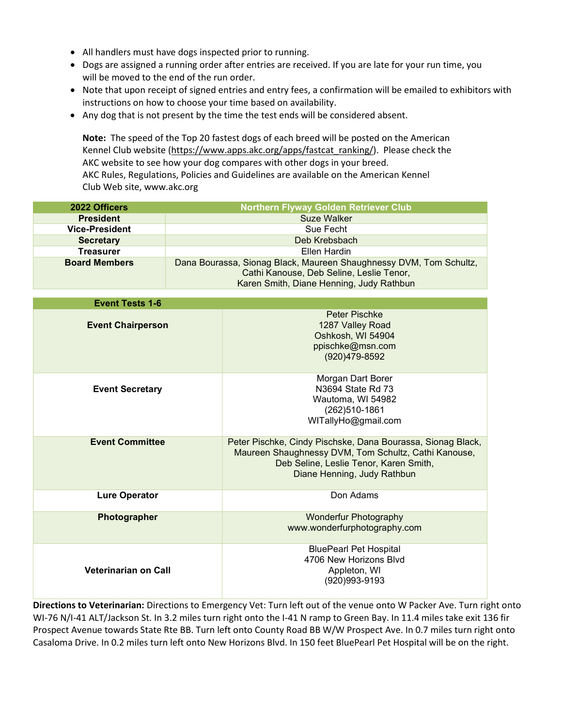- All handlers must have dogs inspected prior to running.
- Dogs are assigned a running order after entries are received. If you are late for your run time, you will be moved to the end of the run order.
- Note that upon receipt of signed entries and entry fees, a confirmation will be emailed to exhibitors with instructions on how to choose your time based on availability.
- Any dog that is not present by the time the test ends will be considered absent.

Note: The speed of the Top 20 fastest dogs of each breed will be posted on the American Kennel Club website (https://www.apps.akc.org/apps/fastcat\_ranking/). Please check the AKC website to see how your dog compares with other dogs in your breed. AKC Rules, Regulations, Policies and Guidelines are available on the American Kennel Club Web site, www.akc.org

| 2022 Officers         | <b>Northern Flyway Golden Retriever Club</b>                       |  |  |  |
|-----------------------|--------------------------------------------------------------------|--|--|--|
| <b>President</b>      | Suze Walker                                                        |  |  |  |
| <b>Vice-President</b> | Sue Fecht                                                          |  |  |  |
| <b>Secretary</b>      | Deb Krebsbach                                                      |  |  |  |
| <b>Treasurer</b>      | Ellen Hardin                                                       |  |  |  |
| <b>Board Members</b>  | Dana Bourassa, Sionag Black, Maureen Shaughnessy DVM, Tom Schultz, |  |  |  |
|                       | Cathi Kanouse, Deb Seline, Leslie Tenor,                           |  |  |  |
|                       | Karen Smith, Diane Henning, Judy Rathbun                           |  |  |  |

| <b>Event Tests 1-6</b>      |                                                                                                                                                                                              |  |  |  |  |
|-----------------------------|----------------------------------------------------------------------------------------------------------------------------------------------------------------------------------------------|--|--|--|--|
| <b>Event Chairperson</b>    | Peter Pischke<br>1287 Valley Road<br>Oshkosh, WI 54904<br>ppischke@msn.com<br>(920)479-8592                                                                                                  |  |  |  |  |
| <b>Event Secretary</b>      | Morgan Dart Borer<br>N3694 State Rd 73<br>Wautoma, WI 54982<br>(262)510-1861<br>WITallyHo@gmail.com                                                                                          |  |  |  |  |
| <b>Event Committee</b>      | Peter Pischke, Cindy Pischske, Dana Bourassa, Sionag Black,<br>Maureen Shaughnessy DVM, Tom Schultz, Cathi Kanouse,<br>Deb Seline, Leslie Tenor, Karen Smith,<br>Diane Henning, Judy Rathbun |  |  |  |  |
| <b>Lure Operator</b>        | Don Adams                                                                                                                                                                                    |  |  |  |  |
| Photographer                | <b>Wonderfur Photography</b><br>www.wonderfurphotography.com                                                                                                                                 |  |  |  |  |
| <b>Veterinarian on Call</b> | <b>BluePearl Pet Hospital</b><br>4706 New Horizons Blvd<br>Appleton, WI<br>(920)993-9193                                                                                                     |  |  |  |  |

Directions to Veterinarian: Directions to Emergency Vet: Turn left out of the venue onto W Packer Ave. Turn right onto WI-76 N/I-41 ALT/Jackson St. In 3.2 miles turn right onto the I-41 N ramp to Green Bay. In 11.4 miles take exit 136 fir Prospect Avenue towards State Rte BB. Turn left onto County Road BB W/W Prospect Ave. In 0.7 miles turn right onto Casaloma Drive. In 0.2 miles turn left onto New Horizons Blvd. In 150 feet BluePearl Pet Hospital will be on the right.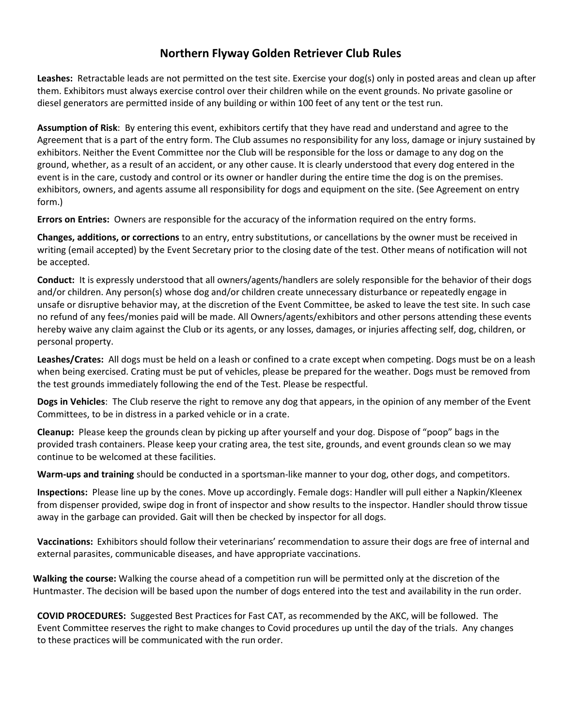## Northern Flyway Golden Retriever Club Rules

Leashes: Retractable leads are not permitted on the test site. Exercise your dog(s) only in posted areas and clean up after them. Exhibitors must always exercise control over their children while on the event grounds. No private gasoline or diesel generators are permitted inside of any building or within 100 feet of any tent or the test run.

Assumption of Risk: By entering this event, exhibitors certify that they have read and understand and agree to the Agreement that is a part of the entry form. The Club assumes no responsibility for any loss, damage or injury sustained by exhibitors. Neither the Event Committee nor the Club will be responsible for the loss or damage to any dog on the ground, whether, as a result of an accident, or any other cause. It is clearly understood that every dog entered in the event is in the care, custody and control or its owner or handler during the entire time the dog is on the premises. exhibitors, owners, and agents assume all responsibility for dogs and equipment on the site. (See Agreement on entry form.)

Errors on Entries: Owners are responsible for the accuracy of the information required on the entry forms.

Changes, additions, or corrections to an entry, entry substitutions, or cancellations by the owner must be received in writing (email accepted) by the Event Secretary prior to the closing date of the test. Other means of notification will not be accepted.

Conduct: It is expressly understood that all owners/agents/handlers are solely responsible for the behavior of their dogs and/or children. Any person(s) whose dog and/or children create unnecessary disturbance or repeatedly engage in unsafe or disruptive behavior may, at the discretion of the Event Committee, be asked to leave the test site. In such case no refund of any fees/monies paid will be made. All Owners/agents/exhibitors and other persons attending these events hereby waive any claim against the Club or its agents, or any losses, damages, or injuries affecting self, dog, children, or personal property.

Leashes/Crates: All dogs must be held on a leash or confined to a crate except when competing. Dogs must be on a leash when being exercised. Crating must be put of vehicles, please be prepared for the weather. Dogs must be removed from the test grounds immediately following the end of the Test. Please be respectful.

Dogs in Vehicles: The Club reserve the right to remove any dog that appears, in the opinion of any member of the Event Committees, to be in distress in a parked vehicle or in a crate.

Cleanup: Please keep the grounds clean by picking up after yourself and your dog. Dispose of "poop" bags in the provided trash containers. Please keep your crating area, the test site, grounds, and event grounds clean so we may continue to be welcomed at these facilities.

Warm-ups and training should be conducted in a sportsman-like manner to your dog, other dogs, and competitors.

Inspections: Please line up by the cones. Move up accordingly. Female dogs: Handler will pull either a Napkin/Kleenex from dispenser provided, swipe dog in front of inspector and show results to the inspector. Handler should throw tissue away in the garbage can provided. Gait will then be checked by inspector for all dogs.

Vaccinations: Exhibitors should follow their veterinarians' recommendation to assure their dogs are free of internal and external parasites, communicable diseases, and have appropriate vaccinations.

Walking the course: Walking the course ahead of a competition run will be permitted only at the discretion of the Huntmaster. The decision will be based upon the number of dogs entered into the test and availability in the run order.

COVID PROCEDURES: Suggested Best Practices for Fast CAT, as recommended by the AKC, will be followed. The Event Committee reserves the right to make changes to Covid procedures up until the day of the trials. Any changes to these practices will be communicated with the run order.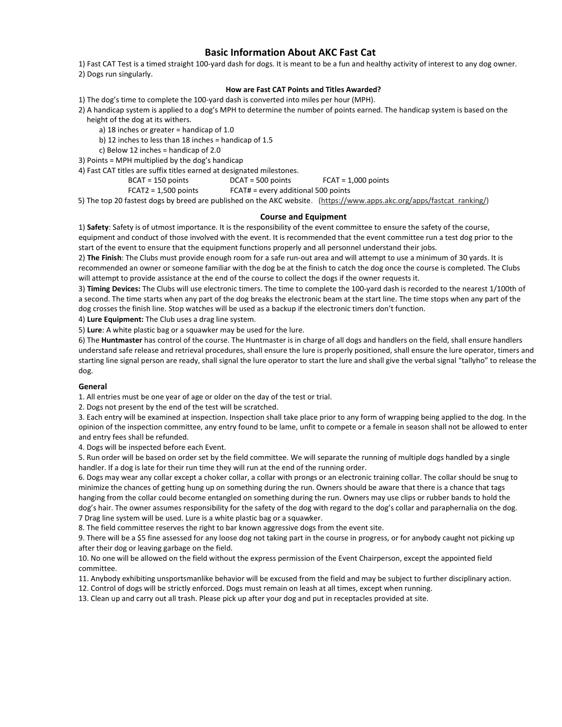### Basic Information About AKC Fast Cat

1) Fast CAT Test is a timed straight 100-yard dash for dogs. It is meant to be a fun and healthy activity of interest to any dog owner. 2) Dogs run singularly.

#### How are Fast CAT Points and Titles Awarded?

1) The dog's time to complete the 100-yard dash is converted into miles per hour (MPH).

2) A handicap system is applied to a dog's MPH to determine the number of points earned. The handicap system is based on the height of the dog at its withers.

- a) 18 inches or greater = handicap of 1.0
- b) 12 inches to less than 18 inches = handicap of 1.5
- c) Below 12 inches = handicap of 2.0

3) Points = MPH multiplied by the dog's handicap

4) Fast CAT titles are suffix titles earned at designated milestones.

BCAT = 150 points DCAT = 500 points FCAT = 1,000 points

FCAT2 = 1,500 points FCAT# = every additional 500 points

5) The top 20 fastest dogs by breed are published on the AKC website. (https://www.apps.akc.org/apps/fastcat\_ranking/)

#### Course and Equipment

1) Safety: Safety is of utmost importance. It is the responsibility of the event committee to ensure the safety of the course, equipment and conduct of those involved with the event. It is recommended that the event committee run a test dog prior to the start of the event to ensure that the equipment functions properly and all personnel understand their jobs.

2) The Finish: The Clubs must provide enough room for a safe run-out area and will attempt to use a minimum of 30 yards. It is recommended an owner or someone familiar with the dog be at the finish to catch the dog once the course is completed. The Clubs will attempt to provide assistance at the end of the course to collect the dogs if the owner requests it.

3) Timing Devices: The Clubs will use electronic timers. The time to complete the 100-yard dash is recorded to the nearest 1/100th of a second. The time starts when any part of the dog breaks the electronic beam at the start line. The time stops when any part of the dog crosses the finish line. Stop watches will be used as a backup if the electronic timers don't function.

4) Lure Equipment: The Club uses a drag line system.

5) Lure: A white plastic bag or a squawker may be used for the lure.

6) The Huntmaster has control of the course. The Huntmaster is in charge of all dogs and handlers on the field, shall ensure handlers understand safe release and retrieval procedures, shall ensure the lure is properly positioned, shall ensure the lure operator, timers and starting line signal person are ready, shall signal the lure operator to start the lure and shall give the verbal signal "tallyho" to release the dog.

#### General

1. All entries must be one year of age or older on the day of the test or trial.

2. Dogs not present by the end of the test will be scratched.

3. Each entry will be examined at inspection. Inspection shall take place prior to any form of wrapping being applied to the dog. In the opinion of the inspection committee, any entry found to be lame, unfit to compete or a female in season shall not be allowed to enter and entry fees shall be refunded.

4. Dogs will be inspected before each Event.

5. Run order will be based on order set by the field committee. We will separate the running of multiple dogs handled by a single handler. If a dog is late for their run time they will run at the end of the running order.

6. Dogs may wear any collar except a choker collar, a collar with prongs or an electronic training collar. The collar should be snug to minimize the chances of getting hung up on something during the run. Owners should be aware that there is a chance that tags hanging from the collar could become entangled on something during the run. Owners may use clips or rubber bands to hold the dog's hair. The owner assumes responsibility for the safety of the dog with regard to the dog's collar and paraphernalia on the dog. 7 Drag line system will be used. Lure is a white plastic bag or a squawker.

8. The field committee reserves the right to bar known aggressive dogs from the event site.

9. There will be a \$5 fine assessed for any loose dog not taking part in the course in progress, or for anybody caught not picking up after their dog or leaving garbage on the field.

10. No one will be allowed on the field without the express permission of the Event Chairperson, except the appointed field committee.

11. Anybody exhibiting unsportsmanlike behavior will be excused from the field and may be subject to further disciplinary action.

12. Control of dogs will be strictly enforced. Dogs must remain on leash at all times, except when running.

13. Clean up and carry out all trash. Please pick up after your dog and put in receptacles provided at site.